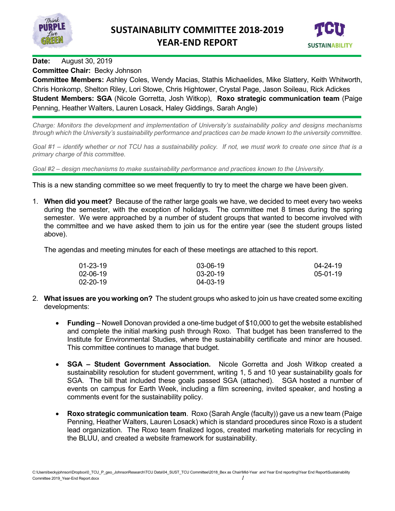



### **Date:** August 30, 2019

### **Committee Chair:** Becky Johnson

**Committee Members:** Ashley Coles, Wendy Macias, Stathis Michaelides, Mike Slattery, Keith Whitworth, Chris Honkomp, Shelton Riley, Lori Stowe, Chris Hightower, Crystal Page, Jason Soileau, Rick Adickes **Student Members: SGA** (Nicole Gorretta, Josh Witkop), **Roxo strategic communication team** (Paige Penning, Heather Walters, Lauren Losack, Haley Giddings, Sarah Angle)

*Charge: Monitors the development and implementation of University's sustainability policy and designs mechanisms through which the University's sustainability performance and practices can be made known to the university committee.*

*Goal #1 – identify whether or not TCU has a sustainability policy. If not, we must work to create one since that is a primary charge of this committee.*

*Goal #2 – design mechanisms to make sustainability performance and practices known to the University.*

This is a new standing committee so we meet frequently to try to meet the charge we have been given.

1. **When did you meet?** Because of the rather large goals we have, we decided to meet every two weeks during the semester, with the exception of holidays. The committee met 8 times during the spring semester. We were approached by a number of student groups that wanted to become involved with the committee and we have asked them to join us for the entire year (see the student groups listed above).

The agendas and meeting minutes for each of these meetings are attached to this report.

| 01-23-19 | 03-06-19       | $04 - 24 - 19$ |
|----------|----------------|----------------|
| 02-06-19 | $03 - 20 - 19$ | $05-01-19$     |
| 02-20-19 | 04-03-19       |                |

- 2. **What issues are you working on?** The student groups who asked to join us have created some exciting developments:
	- **Funding** Nowell Donovan provided a one-time budget of \$10,000 to get the website established and complete the initial marking push through Roxo. That budget has been transferred to the Institute for Environmental Studies, where the sustainability certificate and minor are housed. This committee continues to manage that budget.
	- **SGA – Student Government Association.** Nicole Gorretta and Josh Witkop created a sustainability resolution for student government, writing 1, 5 and 10 year sustainability goals for SGA. The bill that included these goals passed SGA (attached). SGA hosted a number of events on campus for Earth Week, including a film screening, invited speaker, and hosting a comments event for the sustainability policy.
	- **Roxo strategic communication team**. Roxo (Sarah Angle (faculty)) gave us a new team (Paige Penning, Heather Walters, Lauren Losack) which is standard procedures since Roxo is a student lead organization. The Roxo team finalized logos, created marketing materials for recycling in the BLUU, and created a website framework for sustainability.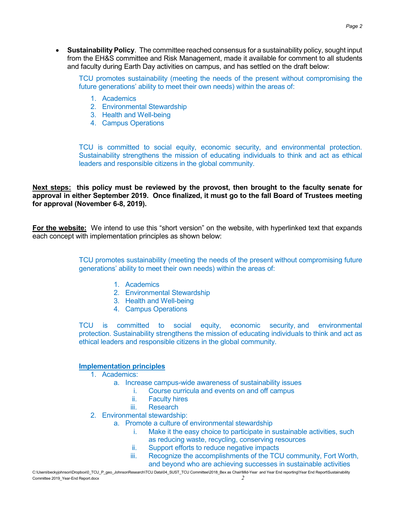• **Sustainability Policy**. The committee reached consensus for a sustainability policy, sought input from the EH&S committee and Risk Management, made it available for comment to all students and faculty during Earth Day activities on campus, and has settled on the draft below:

TCU promotes sustainability (meeting the needs of the present without compromising the future generations' ability to meet their own needs) within the areas of:

- 1. Academics
- 2. Environmental Stewardship
- 3. Health and Well-being
- 4. Campus Operations

TCU is committed to social equity, economic security, and environmental protection. Sustainability strengthens the mission of educating individuals to think and act as ethical leaders and responsible citizens in the global community.

**Next steps: this policy must be reviewed by the provost, then brought to the faculty senate for approval in either September 2019. Once finalized, it must go to the fall Board of Trustees meeting for approval (November 6-8, 2019).**

**For the website:** We intend to use this "short version" on the website, with hyperlinked text that expands each concept with implementation principles as shown below:

> TCU promotes sustainability (meeting the needs of the present without compromising future generations' ability to meet their own needs) within the areas of:

- 1. Academics
- 2. Environmental Stewardship
- 3. Health and Well-being
- 4. Campus Operations

TCU is committed to social equity, economic security, and environmental protection. Sustainability strengthens the mission of educating individuals to think and act as ethical leaders and responsible citizens in the global community.

### **Implementation principles**

- 1. Academics:
	- a. Increase campus-wide awareness of sustainability issues
		- i. Course curricula and events on and off campus
		- **Faculty hires**
		- iii. Research
- 2. Environmental stewardship:
	- a. Promote a culture of environmental stewardship
		- i. Make it the easy choice to participate in sustainable activities, such as reducing waste, recycling, conserving resources
		- ii. Support efforts to reduce negative impacts
		- iii. Recognize the accomplishments of the TCU community, Fort Worth, and beyond who are achieving successes in sustainable activities

C:\Users\beckyjohnson\Dropbox\0\_TCU\_P\_geo\_JohnsonResearch\TCU Data\04\_SUST\_TCU Committee\2018\_Bex as Chair\Mid-Year and Year End reporting\Year End Report\Sustainability Committee 2019\_Year-End Report.docx *2*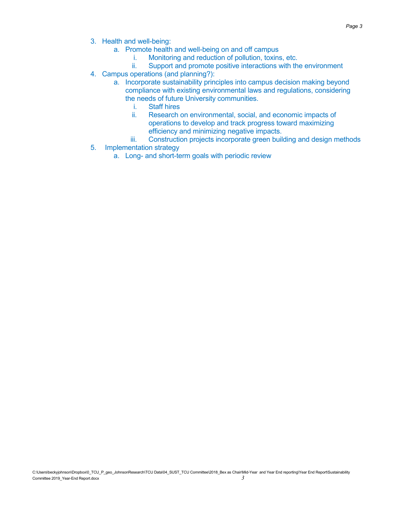- 3. Health and well-being:
	- a. Promote health and well-being on and off campus
		- i. Monitoring and reduction of pollution, toxins, etc.
		- ii. Support and promote positive interactions with the environment
- 4. Campus operations (and planning?):
	- a. Incorporate sustainability principles into campus decision making beyond compliance with existing environmental laws and regulations, considering the needs of future University communities.
		- i. Staff hires
		- ii. Research on environmental, social, and economic impacts of operations to develop and track progress toward maximizing efficiency and minimizing negative impacts.
		- iii. Construction projects incorporate green building and design methods
- 5. Implementation strategy
	- a. Long- and short-term goals with periodic review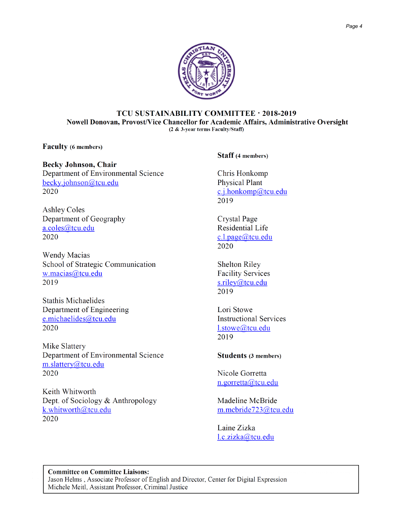

### TCU SUSTAINABILITY COMMITTEE · 2018-2019 Nowell Donovan, Provost/Vice Chancellor for Academic Affairs, Administrative Oversight (2 & 3-year terms Faculty/Staff)

**Faculty** (6 members)

**Becky Johnson, Chair** Department of Environmental Science becky.johnson@tcu.edu 2020

**Ashley Coles** Department of Geography a.coles@tcu.edu 2020

**Wendy Macias** School of Strategic Communication w.macias@tcu.edu 2019

**Stathis Michaelides** Department of Engineering e.michaelides@tcu.edu 2020

Mike Slattery Department of Environmental Science m.slattery@tcu.edu 2020

Keith Whitworth Dept. of Sociology & Anthropology k.whitworth@tcu.edu 2020

**Staff** (4 members)

Chris Honkomp **Physical Plant** c.j.honkomp@tcu.edu 2019

Crystal Page **Residential Life**  $c.l. page@tcu.edu$ 2020

**Shelton Riley Facility Services**  $s$ .riley@tcu.edu 2019

Lori Stowe **Instructional Services** l.stowe@tcu.edu 2019

### **Students (3 members)**

Nicole Gorretta n.gorretta@tcu.edu

Madeline McBride m.mcbride723@tcu.edu

Laine Zizka l.c.zizka@tcu.edu

### Committee on Committee Liaisons:

Jason Helms, Associate Professor of English and Director, Center for Digital Expression Michele Meitl, Assistant Professor, Criminal Justice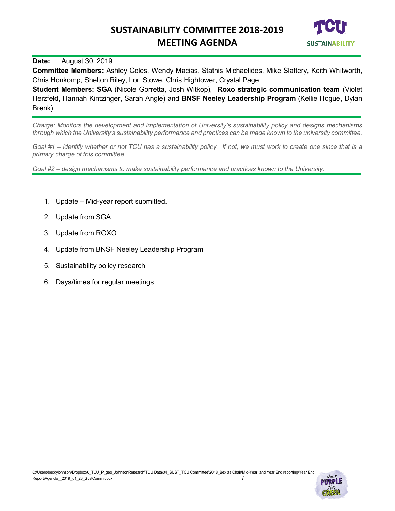

### **Date:** August 30, 2019

**Committee Members:** Ashley Coles, Wendy Macias, Stathis Michaelides, Mike Slattery, Keith Whitworth, Chris Honkomp, Shelton Riley, Lori Stowe, Chris Hightower, Crystal Page

**Student Members: SGA** (Nicole Gorretta, Josh Witkop), **Roxo strategic communication team** (Violet Herzfeld, Hannah Kintzinger, Sarah Angle) and **BNSF Neeley Leadership Program** (Kellie Hogue, Dylan Brenk)

*Charge: Monitors the development and implementation of University's sustainability policy and designs mechanisms through which the University's sustainability performance and practices can be made known to the university committee.*

*Goal #1 – identify whether or not TCU has a sustainability policy. If not, we must work to create one since that is a primary charge of this committee.*

- 1. Update Mid-year report submitted.
- 2. Update from SGA
- 3. Update from ROXO
- 4. Update from BNSF Neeley Leadership Program
- 5. Sustainability policy research
- 6. Days/times for regular meetings

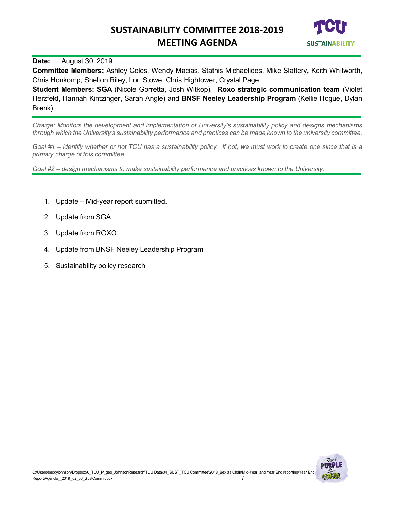

### **Date:** August 30, 2019

**Committee Members:** Ashley Coles, Wendy Macias, Stathis Michaelides, Mike Slattery, Keith Whitworth, Chris Honkomp, Shelton Riley, Lori Stowe, Chris Hightower, Crystal Page

**Student Members: SGA** (Nicole Gorretta, Josh Witkop), **Roxo strategic communication team** (Violet Herzfeld, Hannah Kintzinger, Sarah Angle) and **BNSF Neeley Leadership Program** (Kellie Hogue, Dylan Brenk)

*Charge: Monitors the development and implementation of University's sustainability policy and designs mechanisms through which the University's sustainability performance and practices can be made known to the university committee.*

*Goal #1 – identify whether or not TCU has a sustainability policy. If not, we must work to create one since that is a primary charge of this committee.*

- 1. Update Mid-year report submitted.
- 2. Update from SGA
- 3. Update from ROXO
- 4. Update from BNSF Neeley Leadership Program
- 5. Sustainability policy research

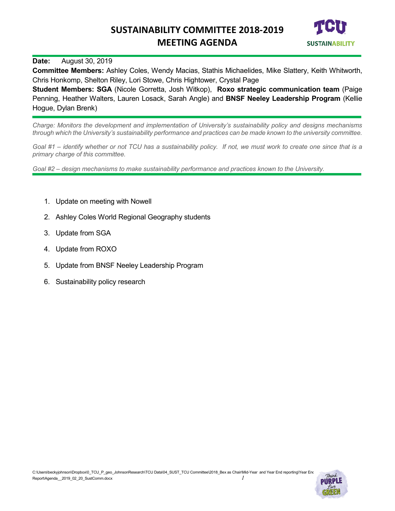

### **Date:** August 30, 2019

**Committee Members:** Ashley Coles, Wendy Macias, Stathis Michaelides, Mike Slattery, Keith Whitworth, Chris Honkomp, Shelton Riley, Lori Stowe, Chris Hightower, Crystal Page

**Student Members: SGA** (Nicole Gorretta, Josh Witkop), **Roxo strategic communication team** (Paige Penning, Heather Walters, Lauren Losack, Sarah Angle) and **BNSF Neeley Leadership Program** (Kellie Hogue, Dylan Brenk)

*Charge: Monitors the development and implementation of University's sustainability policy and designs mechanisms through which the University's sustainability performance and practices can be made known to the university committee.*

*Goal #1 – identify whether or not TCU has a sustainability policy. If not, we must work to create one since that is a primary charge of this committee.*

- 1. Update on meeting with Nowell
- 2. Ashley Coles World Regional Geography students
- 3. Update from SGA
- 4. Update from ROXO
- 5. Update from BNSF Neeley Leadership Program
- 6. Sustainability policy research

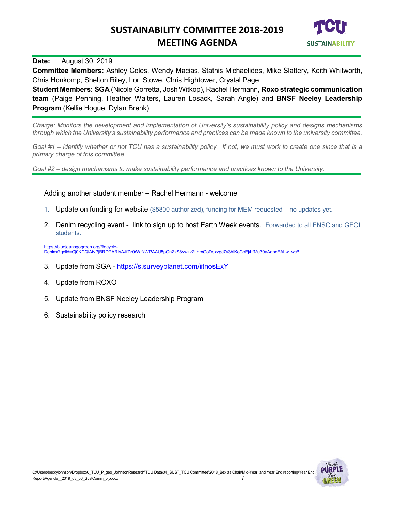

### **Date:** August 30, 2019

**Committee Members:** Ashley Coles, Wendy Macias, Stathis Michaelides, Mike Slattery, Keith Whitworth, Chris Honkomp, Shelton Riley, Lori Stowe, Chris Hightower, Crystal Page

**Student Members: SGA** (Nicole Gorretta, Josh Witkop), Rachel Hermann, **Roxo strategic communication team** (Paige Penning, Heather Walters, Lauren Losack, Sarah Angle) and **BNSF Neeley Leadership Program** (Kellie Hogue, Dylan Brenk)

*Charge: Monitors the development and implementation of University's sustainability policy and designs mechanisms through which the University's sustainability performance and practices can be made known to the university committee.*

*Goal #1 – identify whether or not TCU has a sustainability policy. If not, we must work to create one since that is a primary charge of this committee.*

*Goal #2 – design mechanisms to make sustainability performance and practices known to the University.*

Adding another student member – Rachel Hermann - welcome

- 1. Update on funding for website (\$5800 authorized), funding for MEM requested no updates yet.
- 2. Denim recycling event link to sign up to host Earth Week events. Forwarded to all ENSC and GEOL students.

[https://bluejeansgogreen.org/Recycle-](https://bluejeansgogreen.org/Recycle-Denim/?gclid=Cj0KCQiAtvPjBRDPARIsAJfZz0rWifxWPAAU5pQnZzS8vwzvZLhrxGoDexzgc7y3hIKoCcEj4tfMu30aAqpcEALw_wcB)[Denim/?gclid=Cj0KCQiAtvPjBRDPARIsAJfZz0rWifxWPAAU5pQnZzS8vwzvZLhrxGoDexzgc7y3hIKoCcEj4tfMu30aAqpcEALw\\_wcB](https://bluejeansgogreen.org/Recycle-Denim/?gclid=Cj0KCQiAtvPjBRDPARIsAJfZz0rWifxWPAAU5pQnZzS8vwzvZLhrxGoDexzgc7y3hIKoCcEj4tfMu30aAqpcEALw_wcB)

- 3. Update from SGA <https://s.surveyplanet.com/iitnosExY>
- 4. Update from ROXO
- 5. Update from BNSF Neeley Leadership Program
- 6. Sustainability policy research

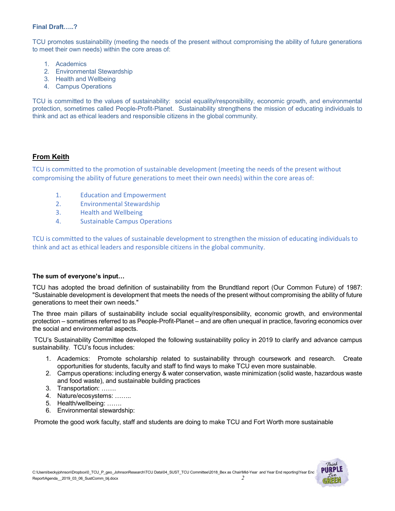### **Final Draft…..?**

TCU promotes sustainability (meeting the needs of the present without compromising the ability of future generations to meet their own needs) within the core areas of:

- 1. Academics
- 2. Environmental Stewardship
- 3. Health and Wellbeing
- 4. Campus Operations

TCU is committed to the values of sustainability: social equality/responsibility, economic growth, and environmental protection, sometimes called People-Profit-Planet. Sustainability strengthens the mission of educating individuals to think and act as ethical leaders and responsible citizens in the global community.

### **From Keith**

TCU is committed to the promotion of sustainable development (meeting the needs of the present without compromising the ability of future generations to meet their own needs) within the core areas of:

- 1. Education and Empowerment
- 2. Environmental Stewardship
- 3. Health and Wellbeing
- 4. Sustainable Campus Operations

TCU is committed to the values of sustainable development to strengthen the mission of educating individuals to think and act as ethical leaders and responsible citizens in the global community.

### **The sum of everyone's input…**

TCU has adopted the broad definition of sustainability from the Brundtland report (Our Common Future) of 1987: "Sustainable development is development that meets the needs of the present without compromising the ability of future generations to meet their own needs."

The three main pillars of sustainability include social equality/responsibility, economic growth, and environmental protection – sometimes referred to as People-Profit-Planet – and are often unequal in practice, favoring economics over the social and environmental aspects.

TCU's Sustainability Committee developed the following sustainability policy in 2019 to clarify and advance campus sustainability. TCU's focus includes:

- 1. Academics: Promote scholarship related to sustainability through coursework and research. Create opportunities for students, faculty and staff to find ways to make TCU even more sustainable.
- 2. Campus operations: including energy & water conservation, waste minimization (solid waste, hazardous waste and food waste), and sustainable building practices
- 3. Transportation: …….
- 4. Nature/ecosystems: ……..
- 5. Health/wellbeing: …….
- 6. Environmental stewardship:

Promote the good work faculty, staff and students are doing to make TCU and Fort Worth more sustainable

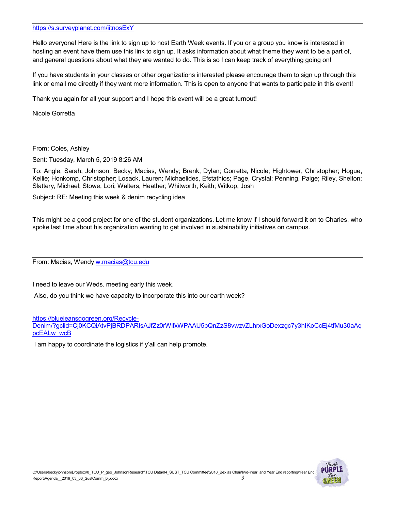#### <https://s.surveyplanet.com/iitnosExY>

Hello everyone! Here is the link to sign up to host Earth Week events. If you or a group you know is interested in hosting an event have them use this link to sign up. It asks information about what theme they want to be a part of, and general questions about what they are wanted to do. This is so I can keep track of everything going on!

If you have students in your classes or other organizations interested please encourage them to sign up through this link or email me directly if they want more information. This is open to anyone that wants to participate in this event!

Thank you again for all your support and I hope this event will be a great turnout!

Nicole Gorretta

From: Coles, Ashley

Sent: Tuesday, March 5, 2019 8:26 AM

To: Angle, Sarah; Johnson, Becky; Macias, Wendy; Brenk, Dylan; Gorretta, Nicole; Hightower, Christopher; Hogue, Kellie; Honkomp, Christopher; Losack, Lauren; Michaelides, Efstathios; Page, Crystal; Penning, Paige; Riley, Shelton; Slattery, Michael; Stowe, Lori; Walters, Heather; Whitworth, Keith; Witkop, Josh

Subject: RE: Meeting this week & denim recycling idea

This might be a good project for one of the student organizations. Let me know if I should forward it on to Charles, who spoke last time about his organization wanting to get involved in sustainability initiatives on campus.

From: Macias, Wendy [w.macias@tcu.edu](mailto:w.macias@tcu.edu)

I need to leave our Weds. meeting early this week.

Also, do you think we have capacity to incorporate this into our earth week?

[https://bluejeansgogreen.org/Recycle-](https://bluejeansgogreen.org/Recycle-Denim/?gclid=Cj0KCQiAtvPjBRDPARIsAJfZz0rWifxWPAAU5pQnZzS8vwzvZLhrxGoDexzgc7y3hIKoCcEj4tfMu30aAqpcEALw_wcB)

[Denim/?gclid=Cj0KCQiAtvPjBRDPARIsAJfZz0rWifxWPAAU5pQnZzS8vwzvZLhrxGoDexzgc7y3hIKoCcEj4tfMu30aAq](https://bluejeansgogreen.org/Recycle-Denim/?gclid=Cj0KCQiAtvPjBRDPARIsAJfZz0rWifxWPAAU5pQnZzS8vwzvZLhrxGoDexzgc7y3hIKoCcEj4tfMu30aAqpcEALw_wcB) [pcEALw\\_wcB](https://bluejeansgogreen.org/Recycle-Denim/?gclid=Cj0KCQiAtvPjBRDPARIsAJfZz0rWifxWPAAU5pQnZzS8vwzvZLhrxGoDexzgc7y3hIKoCcEj4tfMu30aAqpcEALw_wcB)

I am happy to coordinate the logistics if y'all can help promote.

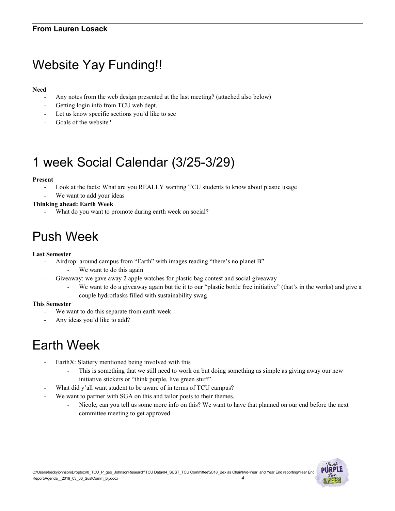# Website Yay Funding!!

### **Need**

- Any notes from the web design presented at the last meeting? (attached also below)
- Getting login info from TCU web dept.
- Let us know specific sections you'd like to see
- Goals of the website?

# 1 week Social Calendar (3/25-3/29)

### **Present**

- Look at the facts: What are you REALLY wanting TCU students to know about plastic usage
- We want to add your ideas

### **Thinking ahead: Earth Week**

What do you want to promote during earth week on social?

# Push Week

### **Last Semester**

- Airdrop: around campus from "Earth" with images reading "there's no planet B"
	- We want to do this again
- Giveaway: we gave away 2 apple watches for plastic bag contest and social giveaway
	- We want to do a giveaway again but tie it to our "plastic bottle free initiative" (that's in the works) and give a couple hydroflasks filled with sustainability swag

### **This Semester**

- We want to do this separate from earth week
- Any ideas you'd like to add?

## Earth Week

- EarthX: Slattery mentioned being involved with this
	- This is something that we still need to work on but doing something as simple as giving away our new initiative stickers or "think purple, live green stuff"
- What did y'all want student to be aware of in terms of TCU campus?
- We want to partner with SGA on this and tailor posts to their themes.
	- Nicole, can you tell us some more info on this? We want to have that planned on our end before the next committee meeting to get approved

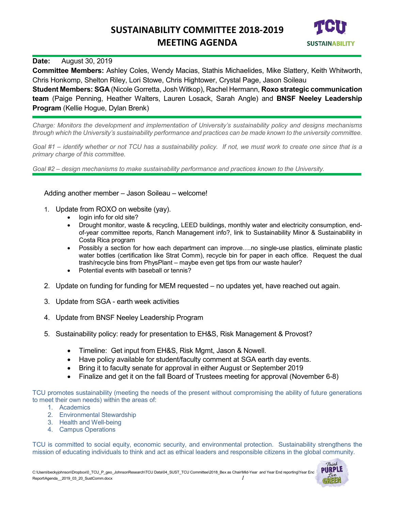

### **Date:** August 30, 2019

**Committee Members:** Ashley Coles, Wendy Macias, Stathis Michaelides, Mike Slattery, Keith Whitworth, Chris Honkomp, Shelton Riley, Lori Stowe, Chris Hightower, Crystal Page, Jason Soileau

**Student Members: SGA** (Nicole Gorretta, Josh Witkop), Rachel Hermann, **Roxo strategic communication team** (Paige Penning, Heather Walters, Lauren Losack, Sarah Angle) and **BNSF Neeley Leadership Program** (Kellie Hogue, Dylan Brenk)

*Charge: Monitors the development and implementation of University's sustainability policy and designs mechanisms through which the University's sustainability performance and practices can be made known to the university committee.*

*Goal #1 – identify whether or not TCU has a sustainability policy. If not, we must work to create one since that is a primary charge of this committee.*

*Goal #2 – design mechanisms to make sustainability performance and practices known to the University.*

Adding another member – Jason Soileau – welcome!

- 1. Update from ROXO on website (yay).
	- login info for old site?
	- Drought monitor, waste & recycling, LEED buildings, monthly water and electricity consumption, endof-year committee reports, Ranch Management info?, link to Sustainability Minor & Sustainability in Costa Rica program
	- Possibly a section for how each department can improve….no single-use plastics, eliminate plastic water bottles (certification like Strat Comm), recycle bin for paper in each office. Request the dual trash/recycle bins from PhysPlant – maybe even get tips from our waste hauler?
	- Potential events with baseball or tennis?
- 2. Update on funding for funding for MEM requested no updates yet, have reached out again.
- 3. Update from SGA [earth](https://s.surveyplanet.com/iitnosExY) week activities
- 4. Update from BNSF Neeley Leadership Program
- 5. Sustainability policy: ready for presentation to EH&S, Risk Management & Provost?
	- Timeline: Get input from EH&S, Risk Mgmt, Jason & Nowell.
	- Have policy available for student/faculty comment at SGA earth day events.
	- Bring it to faculty senate for approval in either August or September 2019
	- Finalize and get it on the fall Board of Trustees meeting for approval (November 6-8)

TCU promotes sustainability (meeting the needs of the present without compromising the ability of future generations to meet their own needs) within the areas of:

- 1. Academics
- 2. Environmental Stewardship
- 3. Health and Well-being
- 4. Campus Operations

TCU is committed to social equity, economic security, and environmental protection. Sustainability strengthens the mission of educating individuals to think and act as ethical leaders and responsible citizens in the global community.

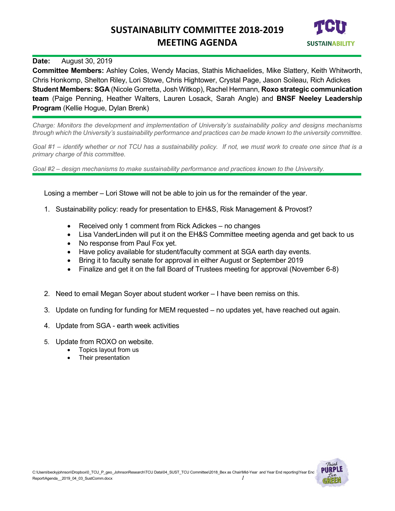

### **Date:** August 30, 2019

**Committee Members:** Ashley Coles, Wendy Macias, Stathis Michaelides, Mike Slattery, Keith Whitworth, Chris Honkomp, Shelton Riley, Lori Stowe, Chris Hightower, Crystal Page, Jason Soileau, Rich Adickes **Student Members: SGA** (Nicole Gorretta, Josh Witkop), Rachel Hermann, **Roxo strategic communication team** (Paige Penning, Heather Walters, Lauren Losack, Sarah Angle) and **BNSF Neeley Leadership Program** (Kellie Hogue, Dylan Brenk)

*Charge: Monitors the development and implementation of University's sustainability policy and designs mechanisms through which the University's sustainability performance and practices can be made known to the university committee.*

*Goal #1 – identify whether or not TCU has a sustainability policy. If not, we must work to create one since that is a primary charge of this committee.*

*Goal #2 – design mechanisms to make sustainability performance and practices known to the University.*

Losing a member – Lori Stowe will not be able to join us for the remainder of the year.

- 1. Sustainability policy: ready for presentation to EH&S, Risk Management & Provost?
	- Received only 1 comment from Rick Adickes no changes
	- Lisa VanderLinden will put it on the EH&S Committee meeting agenda and get back to us
	- No response from Paul Fox yet.
	- Have policy available for student/faculty comment at SGA earth day events.
	- Bring it to faculty senate for approval in either August or September 2019
	- Finalize and get it on the fall Board of Trustees meeting for approval (November 6-8)
- 2. Need to email Megan Soyer about student worker I have been remiss on this.
- 3. Update on funding for funding for MEM requested no updates yet, have reached out again.
- 4. Update from SGA [earth](https://s.surveyplanet.com/iitnosExY) week activities
- 5. Update from ROXO on website.
	- Topics layout from us
	- Their presentation

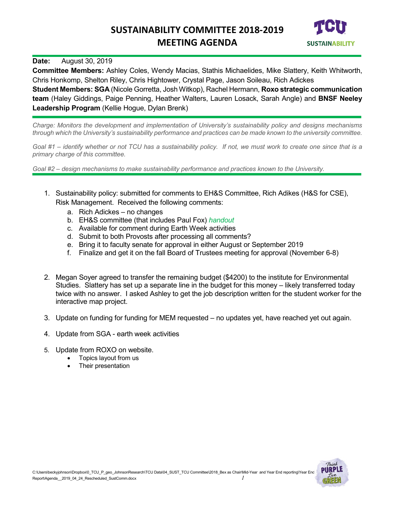

### **Date:** August 30, 2019

**Committee Members:** Ashley Coles, Wendy Macias, Stathis Michaelides, Mike Slattery, Keith Whitworth, Chris Honkomp, Shelton Riley, Chris Hightower, Crystal Page, Jason Soileau, Rich Adickes

**Student Members: SGA** (Nicole Gorretta, Josh Witkop), Rachel Hermann, **Roxo strategic communication team** (Haley Giddings, Paige Penning, Heather Walters, Lauren Losack, Sarah Angle) and **BNSF Neeley Leadership Program** (Kellie Hogue, Dylan Brenk)

*Charge: Monitors the development and implementation of University's sustainability policy and designs mechanisms through which the University's sustainability performance and practices can be made known to the university committee.*

*Goal #1 – identify whether or not TCU has a sustainability policy. If not, we must work to create one since that is a primary charge of this committee.*

- 1. Sustainability policy: submitted for comments to EH&S Committee, Rich Adikes (H&S for CSE), Risk Management. Received the following comments:
	- a. Rich Adickes no changes
	- b. EH&S committee (that includes Paul Fox) *handout*
	- c. Available for comment during Earth Week activities
	- d. Submit to both Provosts after processing all comments?
	- e. Bring it to faculty senate for approval in either August or September 2019
	- f. Finalize and get it on the fall Board of Trustees meeting for approval (November 6-8)
- 2. Megan Soyer agreed to transfer the remaining budget (\$4200) to the institute for Environmental Studies. Slattery has set up a separate line in the budget for this money – likely transferred today twice with no answer. I asked Ashley to get the job description written for the student worker for the interactive map project.
- 3. Update on funding for funding for MEM requested no updates yet, have reached yet out again.
- 4. Update from SGA [earth](https://s.surveyplanet.com/iitnosExY) week activities
- 5. Update from ROXO on website.
	- Topics layout from us
	- Their presentation

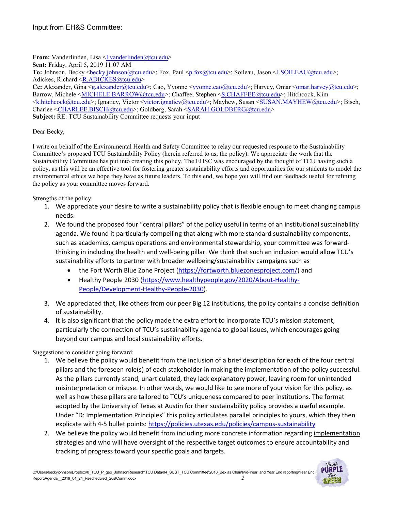**From:** Vanderlinden, Lisa [<l.vanderlinden@tcu.edu>](mailto:l.vanderlinden@tcu.edu)

**Sent:** Friday, April 5, 2019 11:07 AM

To: Johnson, Becky <br/>becky.johnson@tcu.edu>; Fox, Paul [<p.fox@tcu.edu>](mailto:p.fox@tcu.edu); Soileau, Jason [<J.SOILEAU@tcu.edu>](mailto:J.SOILEAU@tcu.edu); Adickes, Richard [<R.ADICKES@tcu.edu>](mailto:R.ADICKES@tcu.edu)

**Cc:** Alexander, Gina [<g.alexander@tcu.edu>](mailto:g.alexander@tcu.edu); Cao, Yvonne [<yvonne.cao@tcu.edu>](mailto:yvonne.cao@tcu.edu); Harvey, Omar [<omar.harvey@tcu.edu>](mailto:omar.harvey@tcu.edu); Barrow, Michele [<MICHELE.BARROW@tcu.edu>](mailto:MICHELE.BARROW@tcu.edu); Chaffee, Stephen [<S.CHAFFEE@tcu.edu>](mailto:S.CHAFFEE@tcu.edu); Hitchcock, Kim [<k.hitchcock@tcu.edu>](mailto:k.hitchcock@tcu.edu); Ignatiev, Victor [<victor.ignatiev@tcu.edu>](mailto:victor.ignatiev@tcu.edu); Mayhew, Susan [<SUSAN.MAYHEW@tcu.edu>](mailto:SUSAN.MAYHEW@tcu.edu); Bisch, Charlee [<CHARLEE.BISCH@tcu.edu>](mailto:CHARLEE.BISCH@tcu.edu); Goldberg, Sarah [<SARAH.GOLDBERG@tcu.edu>](mailto:SARAH.GOLDBERG@tcu.edu) **Subject:** RE: TCU Sustainability Committee requests your input

Dear Becky,

I write on behalf of the Environmental Health and Safety Committee to relay our requested response to the Sustainability Committee's proposed TCU Sustainability Policy (herein referred to as, the policy). We appreciate the work that the Sustainability Committee has put into creating this policy. The EHSC was encouraged by the thought of TCU having such a policy, as this will be an effective tool for fostering greater sustainability efforts and opportunities for our students to model the environmental ethics we hope they have as future leaders. To this end, we hope you will find our feedback useful for refining the policy as your committee moves forward.

Strengths of the policy:

- 1. We appreciate your desire to write a sustainability policy that is flexible enough to meet changing campus needs.
- 2. We found the proposed four "central pillars" of the policy useful in terms of an institutional sustainability agenda. We found it particularly compelling that along with more standard sustainability components, such as academics, campus operations and environmental stewardship, your committee was forwardthinking in including the health and well-being pillar. We think that such an inclusion would allow TCU's sustainability efforts to partner with broader wellbeing/sustainability campaigns such as
	- the Fort Worth Blue Zone Project [\(https://fortworth.bluezonesproject.com/\)](https://fortworth.bluezonesproject.com/) and
	- Healthy People 2030 [\(https://www.healthypeople.gov/2020/About-Healthy-](https://www.healthypeople.gov/2020/About-Healthy-People/Development-Healthy-People-2030)[People/Development-Healthy-People-2030\)](https://www.healthypeople.gov/2020/About-Healthy-People/Development-Healthy-People-2030).
- 3. We appreciated that, like others from our peer Big 12 institutions, the policy contains a concise definition of sustainability.
- 4. It is also significant that the policy made the extra effort to incorporate TCU's mission statement, particularly the connection of TCU's sustainability agenda to global issues, which encourages going beyond our campus and local sustainability efforts.

Suggestions to consider going forward:

- 1. We believe the policy would benefit from the inclusion of a brief description for each of the four central pillars and the foreseen role(s) of each stakeholder in making the implementation of the policy successful. As the pillars currently stand, unarticulated, they lack explanatory power, leaving room for unintended misinterpretation or misuse. In other words, we would like to see more of your vision for this policy, as well as how these pillars are tailored to TCU's uniqueness compared to peer institutions. The format adopted by the University of Texas at Austin for their sustainability policy provides a useful example. Under "D: Implementation Principles" this policy articulates parallel principles to yours, which they then explicate with 4-5 bullet points:<https://policies.utexas.edu/policies/campus-sustainability>
- 2. We believe the policy would benefit from including more concrete information regarding implementation strategies and who will have oversight of the respective target outcomes to ensure accountability and tracking of progress toward your specific goals and targets.

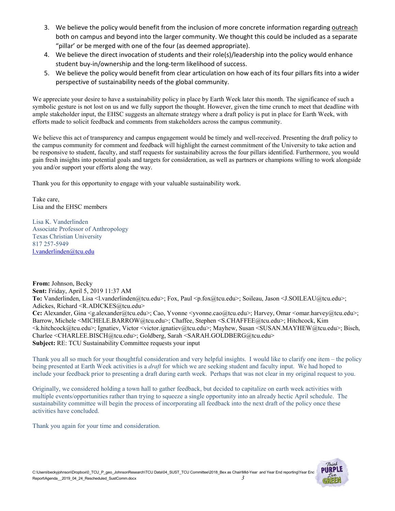- 3. We believe the policy would benefit from the inclusion of more concrete information regarding outreach both on campus and beyond into the larger community. We thought this could be included as a separate "pillar' or be merged with one of the four (as deemed appropriate).
- 4. We believe the direct invocation of students and their role(s)/leadership into the policy would enhance student buy-in/ownership and the long-term likelihood of success.
- 5. We believe the policy would benefit from clear articulation on how each of its four pillars fits into a wider perspective of sustainability needs of the global community.

We appreciate your desire to have a sustainability policy in place by Earth Week later this month. The significance of such a symbolic gesture is not lost on us and we fully support the thought. However, given the time crunch to meet that deadline with ample stakeholder input, the EHSC suggests an alternate strategy where a draft policy is put in place for Earth Week, with efforts made to solicit feedback and comments from stakeholders across the campus community.

We believe this act of transparency and campus engagement would be timely and well-received. Presenting the draft policy to the campus community for comment and feedback will highlight the earnest commitment of the University to take action and be responsive to student, faculty, and staff requests for sustainability across the four pillars identified. Furthermore, you would gain fresh insights into potential goals and targets for consideration, as well as partners or champions willing to work alongside you and/or support your efforts along the way.

Thank you for this opportunity to engage with your valuable sustainability work.

Take care, Lisa and the EHSC members

Lisa K. Vanderlinden Associate Professor of Anthropology Texas Christian University 817 257-5949 [l.vanderlinden@tcu.edu](mailto:l.vanderlinden@tcu.edu)

**From:** Johnson, Becky **Sent:** Friday, April 5, 2019 11:37 AM **To:** Vanderlinden, Lisa <l.vanderlinden@tcu.edu>; Fox, Paul <p.fox@tcu.edu>; Soileau, Jason <J.SOILEAU@tcu.edu>; Adickes, Richard <R.ADICKES@tcu.edu> **Cc:** Alexander, Gina <g.alexander@tcu.edu>; Cao, Yvonne <yvonne.cao@tcu.edu>; Harvey, Omar <omar.harvey@tcu.edu>; Barrow, Michele <MICHELE.BARROW@tcu.edu>; Chaffee, Stephen <S.CHAFFEE@tcu.edu>; Hitchcock, Kim <k.hitchcock@tcu.edu>; Ignatiev, Victor <victor.ignatiev@tcu.edu>; Mayhew, Susan <SUSAN.MAYHEW@tcu.edu>; Bisch, Charlee <CHARLEE.BISCH@tcu.edu>; Goldberg, Sarah <SARAH.GOLDBERG@tcu.edu> **Subject:** RE: TCU Sustainability Committee requests your input

Thank you all so much for your thoughtful consideration and very helpful insights. I would like to clarify one item – the policy being presented at Earth Week activities is a *draft* for which we are seeking student and faculty input. We had hoped to include your feedback prior to presenting a draft during earth week. Perhaps that was not clear in my original request to you.

Originally, we considered holding a town hall to gather feedback, but decided to capitalize on earth week activities with multiple events/opportunities rather than trying to squeeze a single opportunity into an already hectic April schedule. The sustainability committee will begin the process of incorporating all feedback into the next draft of the policy once these activities have concluded.

Thank you again for your time and consideration.

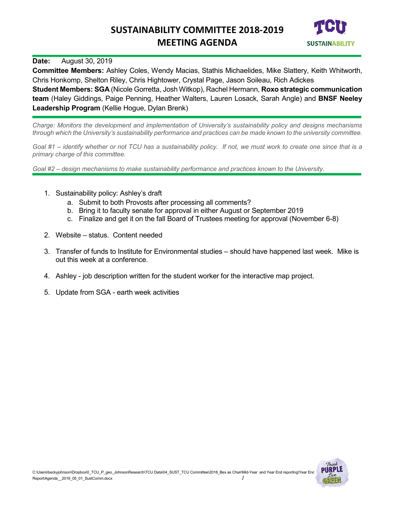

### **Date:** August 30, 2019

**Committee Members:** Ashley Coles, Wendy Macias, Stathis Michaelides, Mike Slattery, Keith Whitworth, Chris Honkomp, Shelton Riley, Chris Hightower, Crystal Page, Jason Soileau, Rich Adickes

**Student Members: SGA** (Nicole Gorretta, Josh Witkop), Rachel Hermann, **Roxo strategic communication team** (Haley Giddings, Paige Penning, Heather Walters, Lauren Losack, Sarah Angle) and **BNSF Neeley Leadership Program** (Kellie Hogue, Dylan Brenk)

*Charge: Monitors the development and implementation of University's sustainability policy and designs mechanisms through which the University's sustainability performance and practices can be made known to the university committee.*

*Goal #1 – identify whether or not TCU has a sustainability policy. If not, we must work to create one since that is a primary charge of this committee.*

- 1. Sustainability policy: Ashley's draft
	- a. Submit to both Provosts after processing all comments?
	- b. Bring it to faculty senate for approval in either August or September 2019
	- c. Finalize and get it on the fall Board of Trustees meeting for approval (November 6-8)
- 2. Website status. Content needed
- 3. Transfer of funds to Institute for Environmental studies should have happened last week. Mike is out this week at a conference.
- 4. Ashley job description written for the student worker for the interactive map project.
- 5. Update from SGA [earth](https://s.surveyplanet.com/iitnosExY) week activities

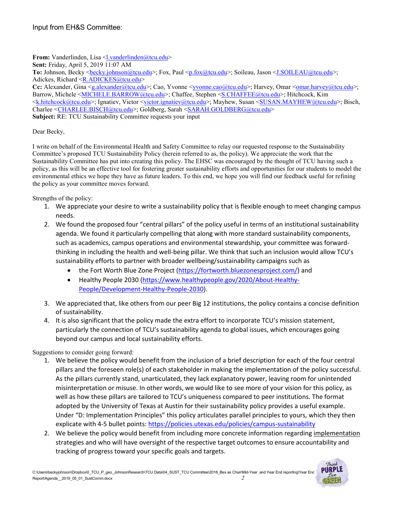**From:** Vanderlinden, Lisa [<l.vanderlinden@tcu.edu>](mailto:l.vanderlinden@tcu.edu)

**Sent:** Friday, April 5, 2019 11:07 AM

To: Johnson, Becky <br/>becky.johnson@tcu.edu>; Fox, Paul [<p.fox@tcu.edu>](mailto:p.fox@tcu.edu); Soileau, Jason [<J.SOILEAU@tcu.edu>](mailto:J.SOILEAU@tcu.edu); Adickes, Richard [<R.ADICKES@tcu.edu>](mailto:R.ADICKES@tcu.edu)

**Cc:** Alexander, Gina [<g.alexander@tcu.edu>](mailto:g.alexander@tcu.edu); Cao, Yvonne [<yvonne.cao@tcu.edu>](mailto:yvonne.cao@tcu.edu); Harvey, Omar [<omar.harvey@tcu.edu>](mailto:omar.harvey@tcu.edu); Barrow, Michele [<MICHELE.BARROW@tcu.edu>](mailto:MICHELE.BARROW@tcu.edu); Chaffee, Stephen [<S.CHAFFEE@tcu.edu>](mailto:S.CHAFFEE@tcu.edu); Hitchcock, Kim [<k.hitchcock@tcu.edu>](mailto:k.hitchcock@tcu.edu); Ignatiev, Victor [<victor.ignatiev@tcu.edu>](mailto:victor.ignatiev@tcu.edu); Mayhew, Susan [<SUSAN.MAYHEW@tcu.edu>](mailto:SUSAN.MAYHEW@tcu.edu); Bisch, Charlee [<CHARLEE.BISCH@tcu.edu>](mailto:CHARLEE.BISCH@tcu.edu); Goldberg, Sarah [<SARAH.GOLDBERG@tcu.edu>](mailto:SARAH.GOLDBERG@tcu.edu) **Subject:** RE: TCU Sustainability Committee requests your input

Dear Becky,

I write on behalf of the Environmental Health and Safety Committee to relay our requested response to the Sustainability Committee's proposed TCU Sustainability Policy (herein referred to as, the policy). We appreciate the work that the Sustainability Committee has put into creating this policy. The EHSC was encouraged by the thought of TCU having such a policy, as this will be an effective tool for fostering greater sustainability efforts and opportunities for our students to model the environmental ethics we hope they have as future leaders. To this end, we hope you will find our feedback useful for refining the policy as your committee moves forward.

Strengths of the policy:

- 1. We appreciate your desire to write a sustainability policy that is flexible enough to meet changing campus needs.
- 2. We found the proposed four "central pillars" of the policy useful in terms of an institutional sustainability agenda. We found it particularly compelling that along with more standard sustainability components, such as academics, campus operations and environmental stewardship, your committee was forwardthinking in including the health and well-being pillar. We think that such an inclusion would allow TCU's sustainability efforts to partner with broader wellbeing/sustainability campaigns such as
	- the Fort Worth Blue Zone Project [\(https://fortworth.bluezonesproject.com/\)](https://fortworth.bluezonesproject.com/) and
	- Healthy People 2030 [\(https://www.healthypeople.gov/2020/About-Healthy-](https://www.healthypeople.gov/2020/About-Healthy-People/Development-Healthy-People-2030)[People/Development-Healthy-People-2030\)](https://www.healthypeople.gov/2020/About-Healthy-People/Development-Healthy-People-2030).
- 3. We appreciated that, like others from our peer Big 12 institutions, the policy contains a concise definition of sustainability.
- 4. It is also significant that the policy made the extra effort to incorporate TCU's mission statement, particularly the connection of TCU's sustainability agenda to global issues, which encourages going beyond our campus and local sustainability efforts.

Suggestions to consider going forward:

- 1. We believe the policy would benefit from the inclusion of a brief description for each of the four central pillars and the foreseen role(s) of each stakeholder in making the implementation of the policy successful. As the pillars currently stand, unarticulated, they lack explanatory power, leaving room for unintended misinterpretation or misuse. In other words, we would like to see more of your vision for this policy, as well as how these pillars are tailored to TCU's uniqueness compared to peer institutions. The format adopted by the University of Texas at Austin for their sustainability policy provides a useful example. Under "D: Implementation Principles" this policy articulates parallel principles to yours, which they then explicate with 4-5 bullet points:<https://policies.utexas.edu/policies/campus-sustainability>
- 2. We believe the policy would benefit from including more concrete information regarding implementation strategies and who will have oversight of the respective target outcomes to ensure accountability and tracking of progress toward your specific goals and targets.